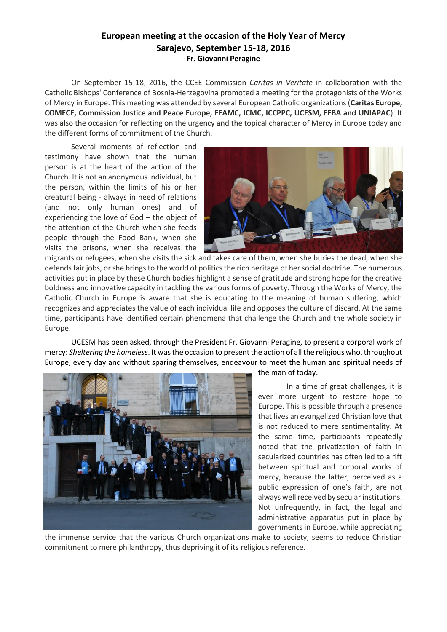## **European meeting at the occasion of the Holy Year of Mercy Sarajevo, September 15-18, 2016 Fr. Giovanni Peragine**

On September 15-18, 2016, the CCEE Commission *Caritas in Veritate* in collaboration with the Catholic Bishops' Conference of Bosnia-Herzegovina promoted a meeting for the protagonists of the Works of Mercy in Europe. This meeting was attended by several European Catholic organizations (**Caritas Europe, COMECE, Commission Justice and Peace Europe, FEAMC, ICMC, ICCPPC, UCESM, FEBA and UNIAPAC**). It was also the occasion for reflecting on the urgency and the topical character of Mercy in Europe today and the different forms of commitment of the Church.

Several moments of reflection and testimony have shown that the human person is at the heart of the action of the Church. It is not an anonymous individual, but the person, within the limits of his or her creatural being - always in need of relations (and not only human ones) and of experiencing the love of God – the object of the attention of the Church when she feeds people through the Food Bank, when she visits the prisons, when she receives the



migrants or refugees, when she visits the sick and takes care of them, when she buries the dead, when she defends fair jobs, or she brings to the world of politics the rich heritage of her social doctrine. The numerous activities put in place by these Church bodies highlight a sense of gratitude and strong hope for the creative boldness and innovative capacity in tackling the various forms of poverty. Through the Works of Mercy, the Catholic Church in Europe is aware that she is educating to the meaning of human suffering, which recognizes and appreciates the value of each individual life and opposes the culture of discard. At the same time, participants have identified certain phenomena that challenge the Church and the whole society in Europe.

UCESM has been asked, through the President Fr. Giovanni Peragine, to present a corporal work of mercy: *Sheltering the homeless*. It was the occasion to present the action of all the religious who, throughout Europe, every day and without sparing themselves, endeavour to meet the human and spiritual needs of



the man of today.

In a time of great challenges, it is ever more urgent to restore hope to Europe. This is possible through a presence that lives an evangelized Christian love that is not reduced to mere sentimentality. At the same time, participants repeatedly noted that the privatization of faith in secularized countries has often led to a rift between spiritual and corporal works of mercy, because the latter, perceived as a public expression of one's faith, are not always well received by secular institutions. Not unfrequently, in fact, the legal and administrative apparatus put in place by governments in Europe, while appreciating

the immense service that the various Church organizations make to society, seems to reduce Christian commitment to mere philanthropy, thus depriving it of its religious reference.